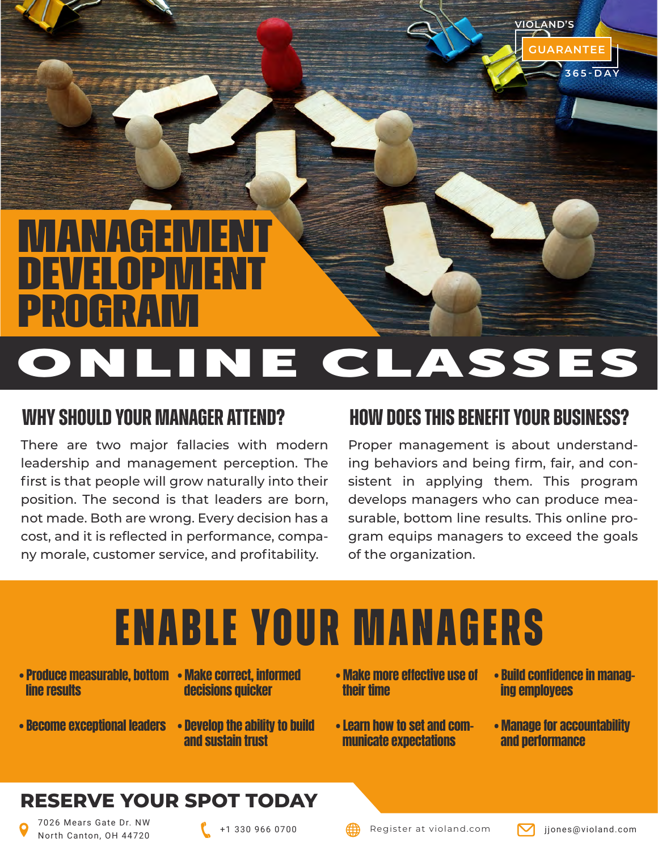

### **Why should your manager attend?**

There are two major fallacies with modern leadership and management perception. The first is that people will grow naturally into their position. The second is that leaders are born, not made. Both are wrong. Every decision has a cost, and it is reflected in performance, company morale, customer service, and profitability.

### **How Does This Benefit Your Business?**

Proper management is about understanding behaviors and being firm, fair, and consistent in applying them. This program develops managers who can produce measurable, bottom line results. This online program equips managers to exceed the goals of the organization.

# **Enable your managers**

- Produce measurable, bottom Make correct, informed line results
- decisions quicker
- 
- Become exceptional leaders Develop the ability to build and sustain trust
- Make more effective use of their time
- Learn how to set and communicate expectations
- Build confidence in managing employees

**GUARANTEE**

**365-DAY**

**VIOLAND'S**

• Manage for accountability and performance

#### **RESERVE YOUR SPOT TODAY**

7026 Mears Gate Dr. NW North Canton, OH 44720